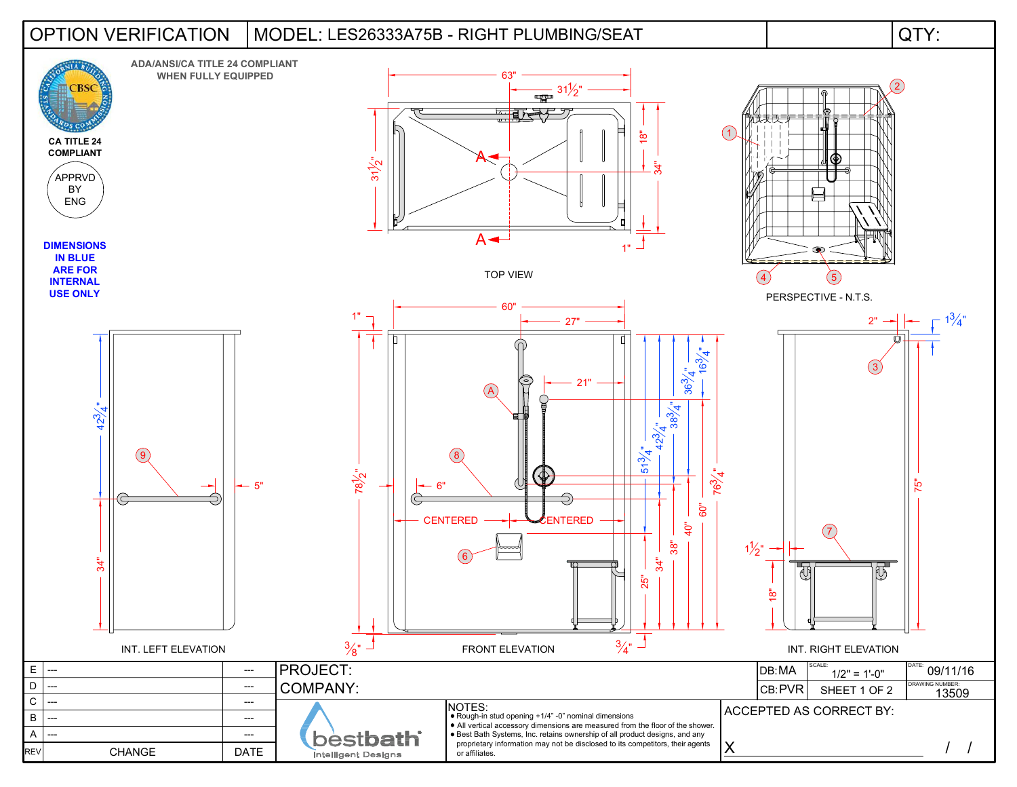## LES26333A75B - RIGHT PLUMBING/SEAT OPTION VERIFICATION MODEL: QTY: